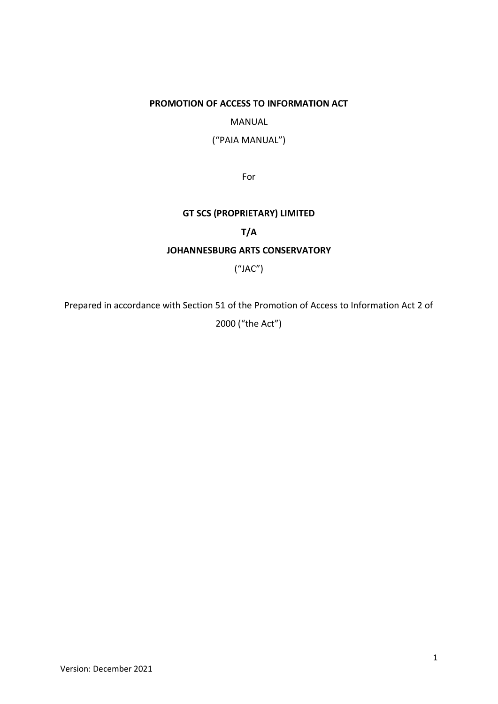# **PROMOTION OF ACCESS TO INFORMATION ACT**

# MANUAL

("PAIA MANUAL")

For

# **GT SCS (PROPRIETARY) LIMITED**

# **T/A**

# **JOHANNESBURG ARTS CONSERVATORY**

("JAC")

Prepared in accordance with Section 51 of the Promotion of Access to Information Act 2 of

2000 ("the Act")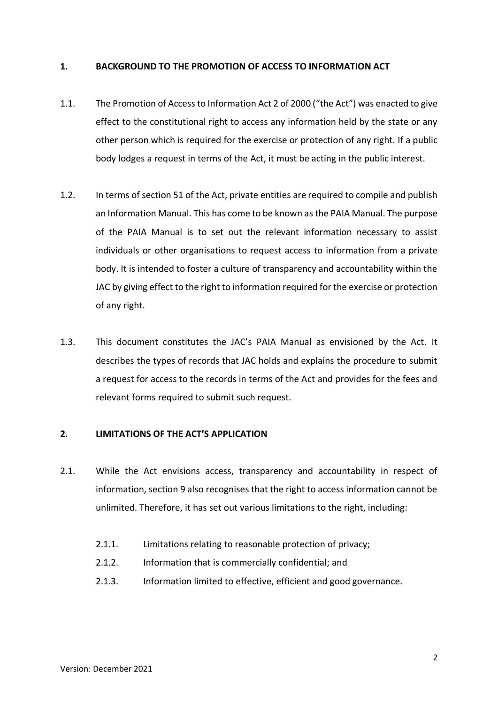## **1. BACKGROUND TO THE PROMOTION OF ACCESS TO INFORMATION ACT**

- 1.1. The Promotion of Access to Information Act 2 of 2000 ("the Act") was enacted to give effect to the constitutional right to access any information held by the state or any other person which is required for the exercise or protection of any right. If a public body lodges a request in terms of the Act, it must be acting in the public interest.
- 1.2. In terms of section 51 of the Act, private entities are required to compile and publish an Information Manual. This has come to be known as the PAIA Manual. The purpose of the PAIA Manual is to set out the relevant information necessary to assist individuals or other organisations to request access to information from a private body. It is intended to foster a culture of transparency and accountability within the JAC by giving effect to the right to information required for the exercise or protection of any right.
- 1.3. This document constitutes the JAC's PAIA Manual as envisioned by the Act. It describes the types of records that JAC holds and explains the procedure to submit a request for access to the records in terms of the Act and provides for the fees and relevant forms required to submit such request.

#### **2. LIMITATIONS OF THE ACT'S APPLICATION**

- 2.1. While the Act envisions access, transparency and accountability in respect of information, section 9 also recognises that the right to access information cannot be unlimited. Therefore, it has set out various limitations to the right, including:
	- 2.1.1. Limitations relating to reasonable protection of privacy;
	- 2.1.2. Information that is commercially confidential; and
	- 2.1.3. Information limited to effective, efficient and good governance.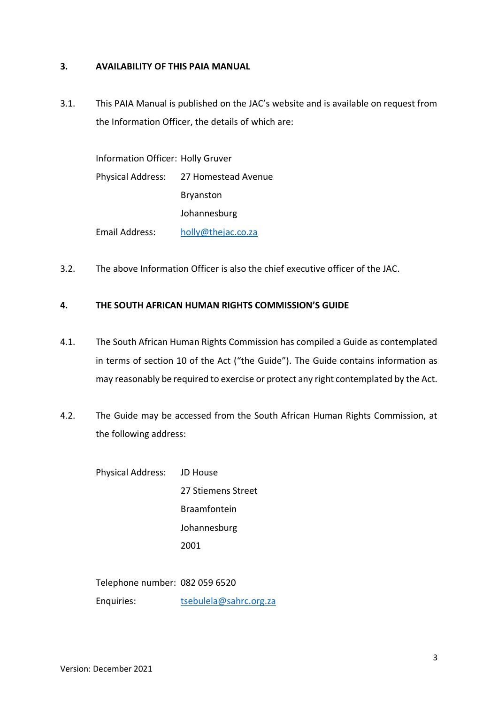## **3. AVAILABILITY OF THIS PAIA MANUAL**

3.1. This PAIA Manual is published on the JAC's website and is available on request from the Information Officer, the details of which are:

| Information Officer: Holly Gruver |                                       |
|-----------------------------------|---------------------------------------|
|                                   | Physical Address: 27 Homestead Avenue |
|                                   | <b>Bryanston</b>                      |
|                                   | Johannesburg                          |
| <b>Email Address:</b>             | holly@thejac.co.za                    |

3.2. The above Information Officer is also the chief executive officer of the JAC.

# **4. THE SOUTH AFRICAN HUMAN RIGHTS COMMISSION'S GUIDE**

- 4.1. The South African Human Rights Commission has compiled a Guide as contemplated in terms of section 10 of the Act ("the Guide"). The Guide contains information as may reasonably be required to exercise or protect any right contemplated by the Act.
- 4.2. The Guide may be accessed from the South African Human Rights Commission, at the following address:

Physical Address: JD House 27 Stiemens Street Braamfontein Johannesburg 2001

Telephone number: 082 059 6520

Enquiries: [tsebulela@sahrc.org.za](mailto:tsebulela@sahrc.org.za)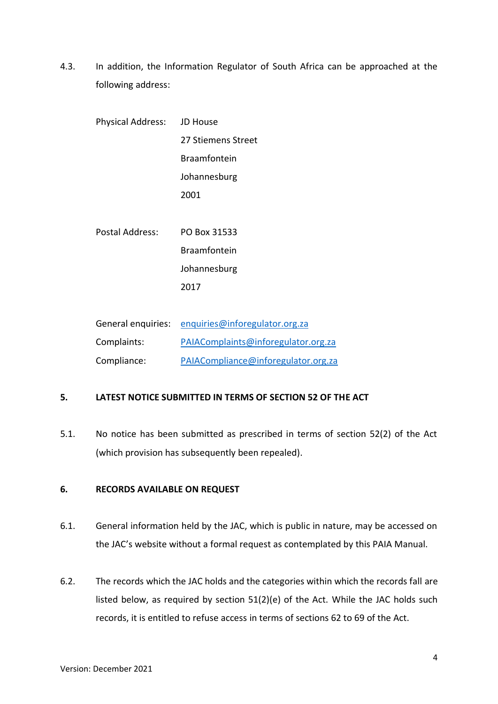4.3. In addition, the Information Regulator of South Africa can be approached at the following address:

| Physical Address: JD House |                    |
|----------------------------|--------------------|
|                            | 27 Stiemens Street |
|                            | Braamfontein       |
|                            | Johannesburg       |
|                            | 2001               |
|                            |                    |
| Postal Address:            | PO Box 31533       |
|                            | Braamfontein       |
|                            | Johannesburg       |
|                            | 2017               |
|                            |                    |

| General enquiries: | enquiries@inforegulator.org.za      |
|--------------------|-------------------------------------|
| Complaints:        | PAIAComplaints@inforegulator.org.za |
| Compliance:        | PAIACompliance@inforegulator.org.za |

# **5. LATEST NOTICE SUBMITTED IN TERMS OF SECTION 52 OF THE ACT**

5.1. No notice has been submitted as prescribed in terms of section 52(2) of the Act (which provision has subsequently been repealed).

# **6. RECORDS AVAILABLE ON REQUEST**

- 6.1. General information held by the JAC, which is public in nature, may be accessed on the JAC's website without a formal request as contemplated by this PAIA Manual.
- 6.2. The records which the JAC holds and the categories within which the records fall are listed below, as required by section 51(2)(e) of the Act. While the JAC holds such records, it is entitled to refuse access in terms of sections 62 to 69 of the Act.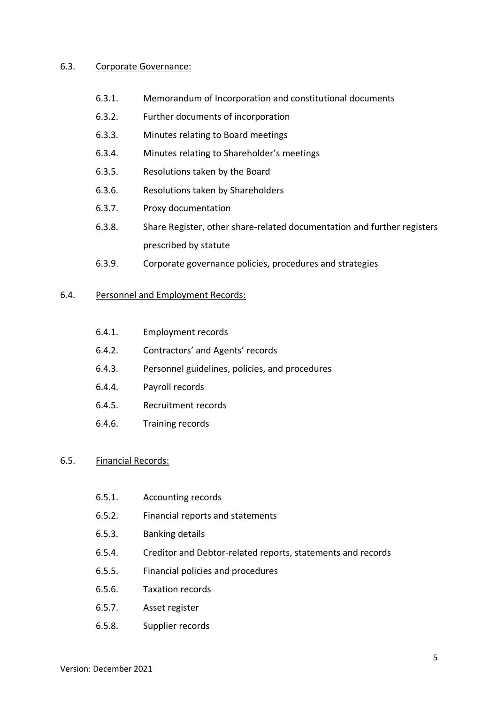#### 6.3. Corporate Governance:

- 6.3.1. Memorandum of Incorporation and constitutional documents
- 6.3.2. Further documents of incorporation
- 6.3.3. Minutes relating to Board meetings
- 6.3.4. Minutes relating to Shareholder's meetings
- 6.3.5. Resolutions taken by the Board
- 6.3.6. Resolutions taken by Shareholders
- 6.3.7. Proxy documentation
- 6.3.8. Share Register, other share-related documentation and further registers prescribed by statute
- 6.3.9. Corporate governance policies, procedures and strategies

#### 6.4. Personnel and Employment Records:

- 6.4.1. Employment records
- 6.4.2. Contractors' and Agents' records
- 6.4.3. Personnel guidelines, policies, and procedures
- 6.4.4. Payroll records
- 6.4.5. Recruitment records
- 6.4.6. Training records

#### 6.5. Financial Records:

- 6.5.1. Accounting records
- 6.5.2. Financial reports and statements
- 6.5.3. Banking details
- 6.5.4. Creditor and Debtor-related reports, statements and records
- 6.5.5. Financial policies and procedures
- 6.5.6. Taxation records
- 6.5.7. Asset register
- 6.5.8. Supplier records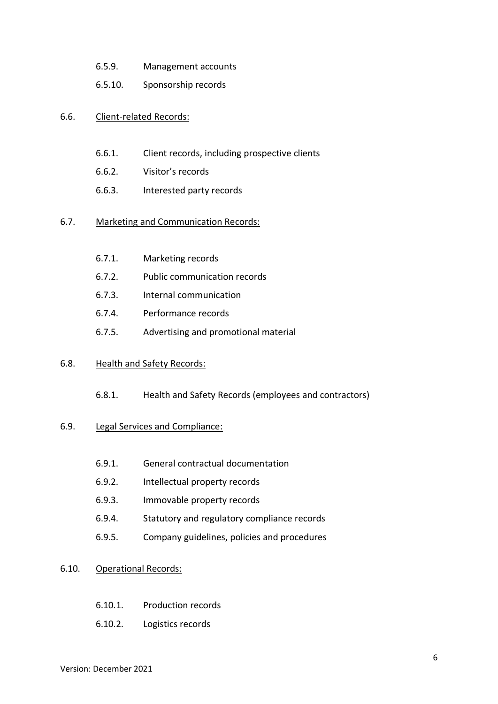- 6.5.9. Management accounts
- 6.5.10. Sponsorship records

### 6.6. Client-related Records:

- 6.6.1. Client records, including prospective clients
- 6.6.2. Visitor's records
- 6.6.3. Interested party records

#### 6.7. Marketing and Communication Records:

- 6.7.1. Marketing records
- 6.7.2. Public communication records
- 6.7.3. Internal communication
- 6.7.4. Performance records
- 6.7.5. Advertising and promotional material

#### 6.8. Health and Safety Records:

6.8.1. Health and Safety Records (employees and contractors)

#### 6.9. Legal Services and Compliance:

- 6.9.1. General contractual documentation
- 6.9.2. Intellectual property records
- 6.9.3. Immovable property records
- 6.9.4. Statutory and regulatory compliance records
- 6.9.5. Company guidelines, policies and procedures

#### 6.10. Operational Records:

- 6.10.1. Production records
- 6.10.2. Logistics records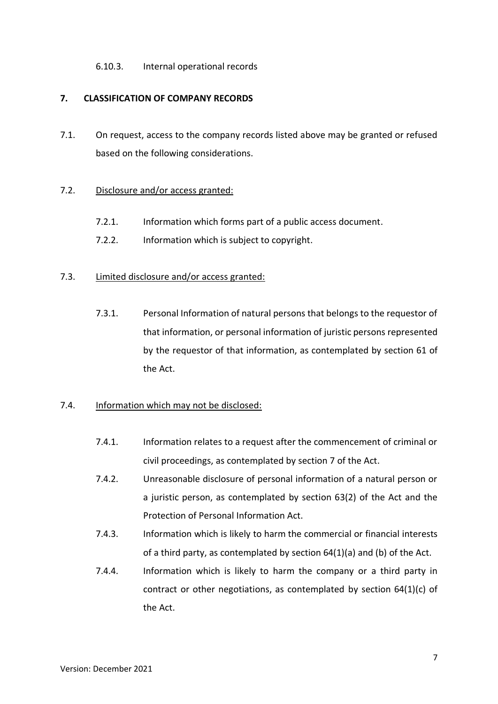## 6.10.3. Internal operational records

# **7. CLASSIFICATION OF COMPANY RECORDS**

7.1. On request, access to the company records listed above may be granted or refused based on the following considerations.

## 7.2. Disclosure and/or access granted:

- 7.2.1. Information which forms part of a public access document.
- 7.2.2. Information which is subject to copyright.

# 7.3. Limited disclosure and/or access granted:

7.3.1. Personal Information of natural persons that belongs to the requestor of that information, or personal information of juristic persons represented by the requestor of that information, as contemplated by section 61 of the Act.

## 7.4. Information which may not be disclosed:

- 7.4.1. Information relates to a request after the commencement of criminal or civil proceedings, as contemplated by section 7 of the Act.
- 7.4.2. Unreasonable disclosure of personal information of a natural person or a juristic person, as contemplated by section 63(2) of the Act and the Protection of Personal Information Act.
- 7.4.3. Information which is likely to harm the commercial or financial interests of a third party, as contemplated by section 64(1)(a) and (b) of the Act.
- 7.4.4. Information which is likely to harm the company or a third party in contract or other negotiations, as contemplated by section 64(1)(c) of the Act.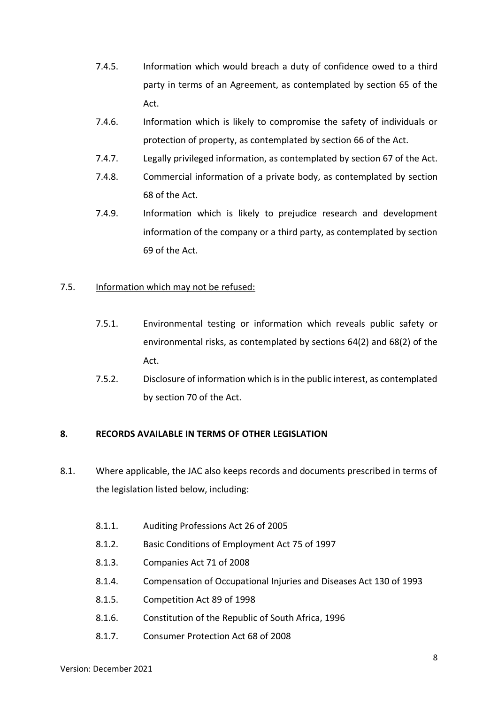- 7.4.5. Information which would breach a duty of confidence owed to a third party in terms of an Agreement, as contemplated by section 65 of the Act.
- 7.4.6. Information which is likely to compromise the safety of individuals or protection of property, as contemplated by section 66 of the Act.
- 7.4.7. Legally privileged information, as contemplated by section 67 of the Act.
- 7.4.8. Commercial information of a private body, as contemplated by section 68 of the Act.
- 7.4.9. Information which is likely to prejudice research and development information of the company or a third party, as contemplated by section 69 of the Act.

# 7.5. Information which may not be refused:

- 7.5.1. Environmental testing or information which reveals public safety or environmental risks, as contemplated by sections 64(2) and 68(2) of the Act.
- 7.5.2. Disclosure of information which is in the public interest, as contemplated by section 70 of the Act.

# **8. RECORDS AVAILABLE IN TERMS OF OTHER LEGISLATION**

- 8.1. Where applicable, the JAC also keeps records and documents prescribed in terms of the legislation listed below, including:
	- 8.1.1. Auditing Professions Act 26 of 2005
	- 8.1.2. Basic Conditions of Employment Act 75 of 1997
	- 8.1.3. Companies Act 71 of 2008
	- 8.1.4. Compensation of Occupational Injuries and Diseases Act 130 of 1993
	- 8.1.5. Competition Act 89 of 1998
	- 8.1.6. Constitution of the Republic of South Africa, 1996
	- 8.1.7. Consumer Protection Act 68 of 2008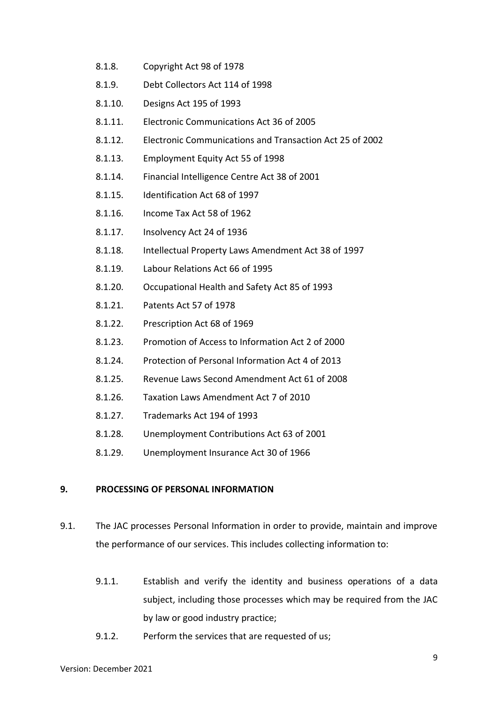- 8.1.8. Copyright Act 98 of 1978
- 8.1.9. Debt Collectors Act 114 of 1998
- 8.1.10. Designs Act 195 of 1993
- 8.1.11. Electronic Communications Act 36 of 2005
- 8.1.12. Electronic Communications and Transaction Act 25 of 2002
- 8.1.13. Employment Equity Act 55 of 1998
- 8.1.14. Financial Intelligence Centre Act 38 of 2001
- 8.1.15. Identification Act 68 of 1997
- 8.1.16. Income Tax Act 58 of 1962
- 8.1.17. Insolvency Act 24 of 1936
- 8.1.18. Intellectual Property Laws Amendment Act 38 of 1997
- 8.1.19. Labour Relations Act 66 of 1995
- 8.1.20. Occupational Health and Safety Act 85 of 1993
- 8.1.21. Patents Act 57 of 1978
- 8.1.22. Prescription Act 68 of 1969
- 8.1.23. Promotion of Access to Information Act 2 of 2000
- 8.1.24. Protection of Personal Information Act 4 of 2013
- 8.1.25. Revenue Laws Second Amendment Act 61 of 2008
- 8.1.26. Taxation Laws Amendment Act 7 of 2010
- 8.1.27. Trademarks Act 194 of 1993
- 8.1.28. Unemployment Contributions Act 63 of 2001
- 8.1.29. Unemployment Insurance Act 30 of 1966

# **9. PROCESSING OF PERSONAL INFORMATION**

- 9.1. The JAC processes Personal Information in order to provide, maintain and improve the performance of our services. This includes collecting information to:
	- 9.1.1. Establish and verify the identity and business operations of a data subject, including those processes which may be required from the JAC by law or good industry practice;
	- 9.1.2. Perform the services that are requested of us;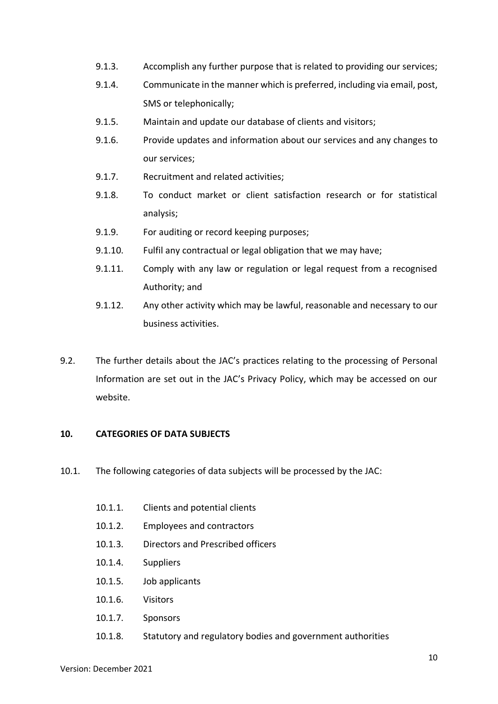- 9.1.3. Accomplish any further purpose that is related to providing our services;
- 9.1.4. Communicate in the manner which is preferred, including via email, post, SMS or telephonically;
- 9.1.5. Maintain and update our database of clients and visitors;
- 9.1.6. Provide updates and information about our services and any changes to our services;
- 9.1.7. Recruitment and related activities;
- 9.1.8. To conduct market or client satisfaction research or for statistical analysis;
- 9.1.9. For auditing or record keeping purposes;
- 9.1.10. Fulfil any contractual or legal obligation that we may have;
- 9.1.11. Comply with any law or regulation or legal request from a recognised Authority; and
- 9.1.12. Any other activity which may be lawful, reasonable and necessary to our business activities.
- 9.2. The further details about the JAC's practices relating to the processing of Personal Information are set out in the JAC's Privacy Policy, which may be accessed on our website.

## **10. CATEGORIES OF DATA SUBJECTS**

- 10.1. The following categories of data subjects will be processed by the JAC:
	- 10.1.1. Clients and potential clients
	- 10.1.2. Employees and contractors
	- 10.1.3. Directors and Prescribed officers
	- 10.1.4. Suppliers
	- 10.1.5. Job applicants
	- 10.1.6. Visitors
	- 10.1.7. Sponsors
	- 10.1.8. Statutory and regulatory bodies and government authorities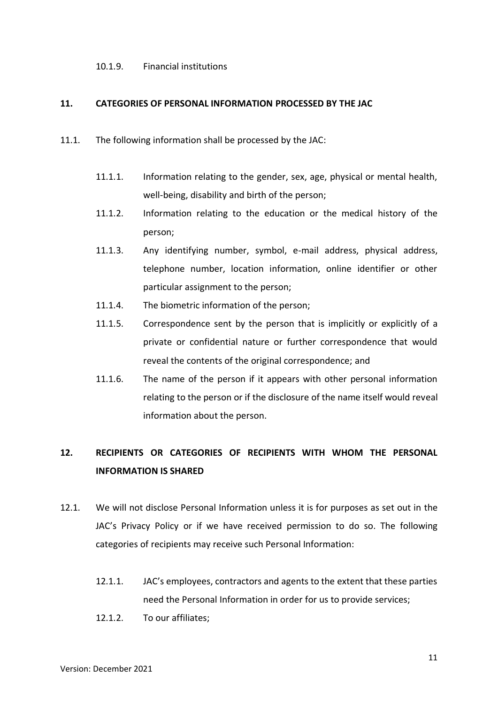#### 10.1.9. Financial institutions

#### **11. CATEGORIES OF PERSONAL INFORMATION PROCESSED BY THE JAC**

- 11.1. The following information shall be processed by the JAC:
	- 11.1.1. Information relating to the gender, sex, age, physical or mental health, well-being, disability and birth of the person;
	- 11.1.2. Information relating to the education or the medical history of the person;
	- 11.1.3. Any identifying number, symbol, e-mail address, physical address, telephone number, location information, online identifier or other particular assignment to the person;
	- 11.1.4. The biometric information of the person;
	- 11.1.5. Correspondence sent by the person that is implicitly or explicitly of a private or confidential nature or further correspondence that would reveal the contents of the original correspondence; and
	- 11.1.6. The name of the person if it appears with other personal information relating to the person or if the disclosure of the name itself would reveal information about the person.

# **12. RECIPIENTS OR CATEGORIES OF RECIPIENTS WITH WHOM THE PERSONAL INFORMATION IS SHARED**

- 12.1. We will not disclose Personal Information unless it is for purposes as set out in the JAC's Privacy Policy or if we have received permission to do so. The following categories of recipients may receive such Personal Information:
	- 12.1.1. JAC's employees, contractors and agents to the extent that these parties need the Personal Information in order for us to provide services;
	- 12.1.2. To our affiliates;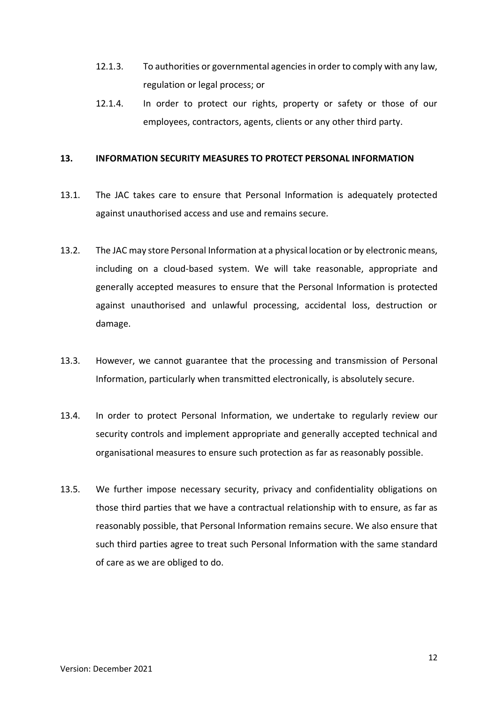- 12.1.3. To authorities or governmental agencies in order to comply with any law, regulation or legal process; or
- 12.1.4. In order to protect our rights, property or safety or those of our employees, contractors, agents, clients or any other third party.

#### **13. INFORMATION SECURITY MEASURES TO PROTECT PERSONAL INFORMATION**

- 13.1. The JAC takes care to ensure that Personal Information is adequately protected against unauthorised access and use and remains secure.
- 13.2. The JAC may store Personal Information at a physical location or by electronic means, including on a cloud-based system. We will take reasonable, appropriate and generally accepted measures to ensure that the Personal Information is protected against unauthorised and unlawful processing, accidental loss, destruction or damage.
- 13.3. However, we cannot guarantee that the processing and transmission of Personal Information, particularly when transmitted electronically, is absolutely secure.
- 13.4. In order to protect Personal Information, we undertake to regularly review our security controls and implement appropriate and generally accepted technical and organisational measures to ensure such protection as far as reasonably possible.
- 13.5. We further impose necessary security, privacy and confidentiality obligations on those third parties that we have a contractual relationship with to ensure, as far as reasonably possible, that Personal Information remains secure. We also ensure that such third parties agree to treat such Personal Information with the same standard of care as we are obliged to do.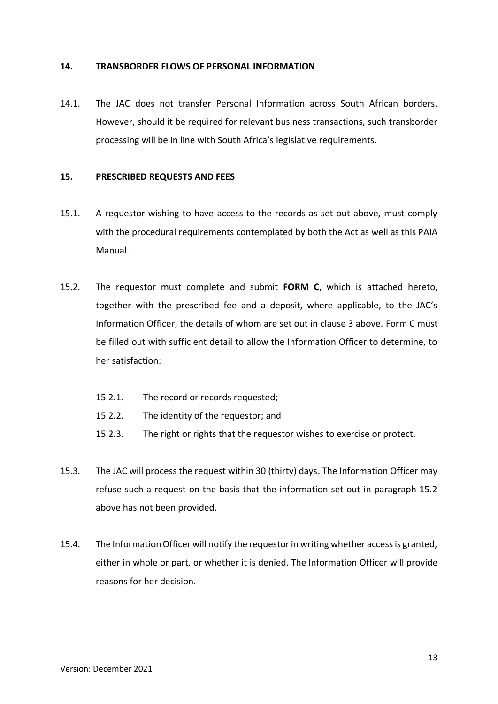#### **14. TRANSBORDER FLOWS OF PERSONAL INFORMATION**

14.1. The JAC does not transfer Personal Information across South African borders. However, should it be required for relevant business transactions, such transborder processing will be in line with South Africa's legislative requirements.

#### **15. PRESCRIBED REQUESTS AND FEES**

- 15.1. A requestor wishing to have access to the records as set out above, must comply with the procedural requirements contemplated by both the Act as well as this PAIA Manual.
- 15.2. The requestor must complete and submit **FORM C**, which is attached hereto, together with the prescribed fee and a deposit, where applicable, to the JAC's Information Officer, the details of whom are set out in clause 3 above. Form C must be filled out with sufficient detail to allow the Information Officer to determine, to her satisfaction:
	- 15.2.1. The record or records requested;
	- 15.2.2. The identity of the requestor; and
	- 15.2.3. The right or rights that the requestor wishes to exercise or protect.
- 15.3. The JAC will process the request within 30 (thirty) days. The Information Officer may refuse such a request on the basis that the information set out in paragraph 15.2 above has not been provided.
- 15.4. The Information Officer will notify the requestor in writing whether access is granted, either in whole or part, or whether it is denied. The Information Officer will provide reasons for her decision.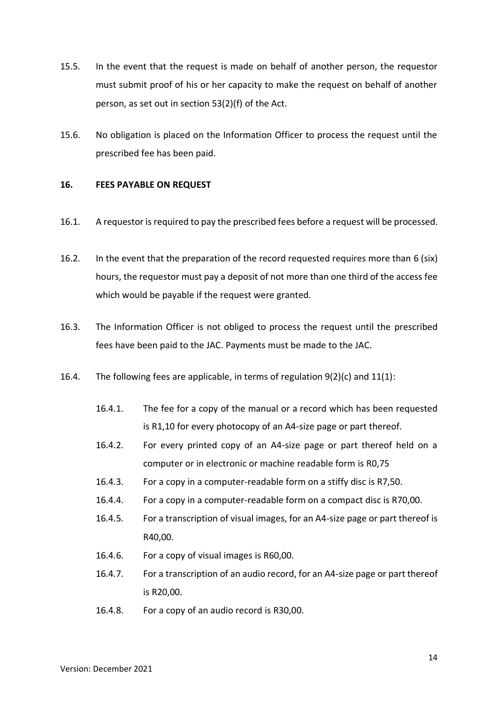- 15.5. In the event that the request is made on behalf of another person, the requestor must submit proof of his or her capacity to make the request on behalf of another person, as set out in section 53(2)(f) of the Act.
- 15.6. No obligation is placed on the Information Officer to process the request until the prescribed fee has been paid.

#### **16. FEES PAYABLE ON REQUEST**

- 16.1. A requestor is required to pay the prescribed fees before a request will be processed.
- 16.2. In the event that the preparation of the record requested requires more than 6 (six) hours, the requestor must pay a deposit of not more than one third of the access fee which would be payable if the request were granted.
- 16.3. The Information Officer is not obliged to process the request until the prescribed fees have been paid to the JAC. Payments must be made to the JAC.
- 16.4. The following fees are applicable, in terms of regulation  $9(2)(c)$  and  $11(1)$ :
	- 16.4.1. The fee for a copy of the manual or a record which has been requested is R1,10 for every photocopy of an A4-size page or part thereof.
	- 16.4.2. For every printed copy of an A4-size page or part thereof held on a computer or in electronic or machine readable form is R0,75
	- 16.4.3. For a copy in a computer-readable form on a stiffy disc is R7,50.
	- 16.4.4. For a copy in a computer-readable form on a compact disc is R70,00.
	- 16.4.5. For a transcription of visual images, for an A4-size page or part thereof is R40,00.
	- 16.4.6. For a copy of visual images is R60,00.
	- 16.4.7. For a transcription of an audio record, for an A4-size page or part thereof is R20,00.
	- 16.4.8. For a copy of an audio record is R30,00.